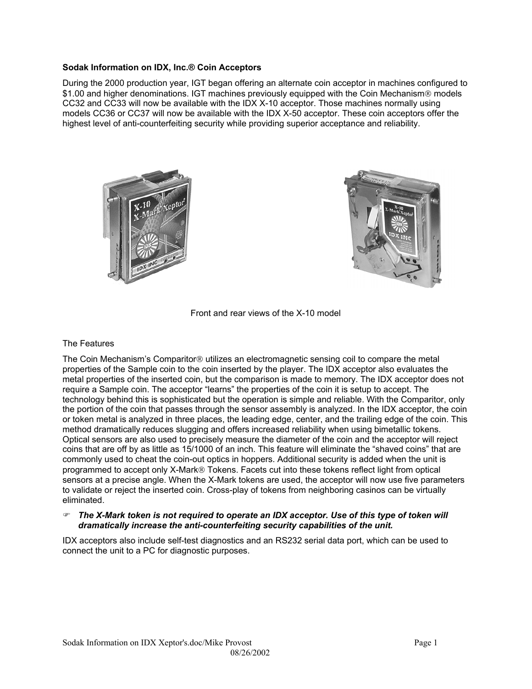# **Sodak Information on IDX, Inc.® Coin Acceptors**

During the 2000 production year, IGT began offering an alternate coin acceptor in machines configured to \$1.00 and higher denominations. IGT machines previously equipped with the Coin Mechanism<sup>®</sup> models CC32 and CC33 will now be available with the IDX X-10 acceptor. Those machines normally using models CC36 or CC37 will now be available with the IDX X-50 acceptor. These coin acceptors offer the highest level of anti-counterfeiting security while providing superior acceptance and reliability.





Front and rear views of the X-10 model

## The Features

The Coin Mechanism's Comparitor<sup>®</sup> utilizes an electromagnetic sensing coil to compare the metal properties of the Sample coin to the coin inserted by the player. The IDX acceptor also evaluates the metal properties of the inserted coin, but the comparison is made to memory. The IDX acceptor does not require a Sample coin. The acceptor "learns" the properties of the coin it is setup to accept. The technology behind this is sophisticated but the operation is simple and reliable. With the Comparitor, only the portion of the coin that passes through the sensor assembly is analyzed. In the IDX acceptor, the coin or token metal is analyzed in three places, the leading edge, center, and the trailing edge of the coin. This method dramatically reduces slugging and offers increased reliability when using bimetallic tokens. Optical sensors are also used to precisely measure the diameter of the coin and the acceptor will reject coins that are off by as little as 15/1000 of an inch. This feature will eliminate the "shaved coins" that are commonly used to cheat the coin-out optics in hoppers. Additional security is added when the unit is programmed to accept only X-Mark® Tokens. Facets cut into these tokens reflect light from optical sensors at a precise angle. When the X-Mark tokens are used, the acceptor will now use five parameters to validate or reject the inserted coin. Cross-play of tokens from neighboring casinos can be virtually eliminated.

# ) *The X-Mark token is not required to operate an IDX acceptor. Use of this type of token will dramatically increase the anti-counterfeiting security capabilities of the unit.*

IDX acceptors also include self-test diagnostics and an RS232 serial data port, which can be used to connect the unit to a PC for diagnostic purposes.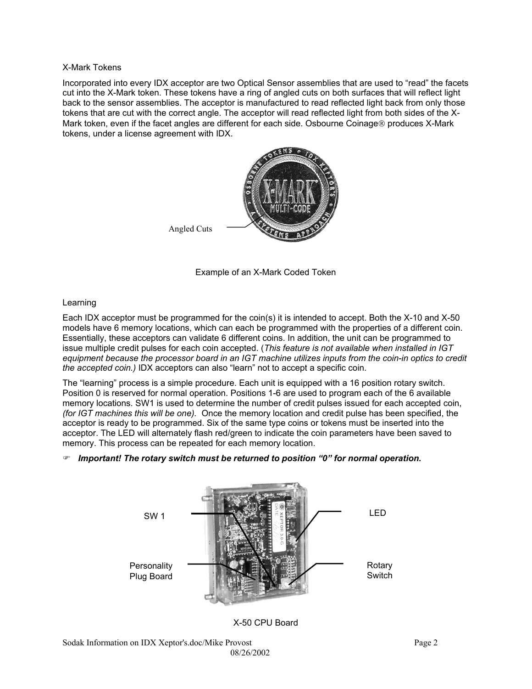## X-Mark Tokens

Incorporated into every IDX acceptor are two Optical Sensor assemblies that are used to "read" the facets cut into the X-Mark token. These tokens have a ring of angled cuts on both surfaces that will reflect light back to the sensor assemblies. The acceptor is manufactured to read reflected light back from only those tokens that are cut with the correct angle. The acceptor will read reflected light from both sides of the X-Mark token, even if the facet angles are different for each side. Osbourne Coinage<sup>®</sup> produces X-Mark tokens, under a license agreement with IDX.



Example of an X-Mark Coded Token

# Learning

Each IDX acceptor must be programmed for the coin(s) it is intended to accept. Both the X-10 and X-50 models have 6 memory locations, which can each be programmed with the properties of a different coin. Essentially, these acceptors can validate 6 different coins. In addition, the unit can be programmed to issue multiple credit pulses for each coin accepted. (*This feature is not available when installed in IGT equipment because the processor board in an IGT machine utilizes inputs from the coin-in optics to credit the accepted coin.)* IDX acceptors can also "learn" not to accept a specific coin.

The "learning" process is a simple procedure. Each unit is equipped with a 16 position rotary switch. Position 0 is reserved for normal operation. Positions 1-6 are used to program each of the 6 available memory locations. SW1 is used to determine the number of credit pulses issued for each accepted coin, *(for IGT machines this will be one).* Once the memory location and credit pulse has been specified, the acceptor is ready to be programmed. Six of the same type coins or tokens must be inserted into the acceptor. The LED will alternately flash red/green to indicate the coin parameters have been saved to memory. This process can be repeated for each memory location.

) *Important! The rotary switch must be returned to position "0" for normal operation.*



X-50 CPU Board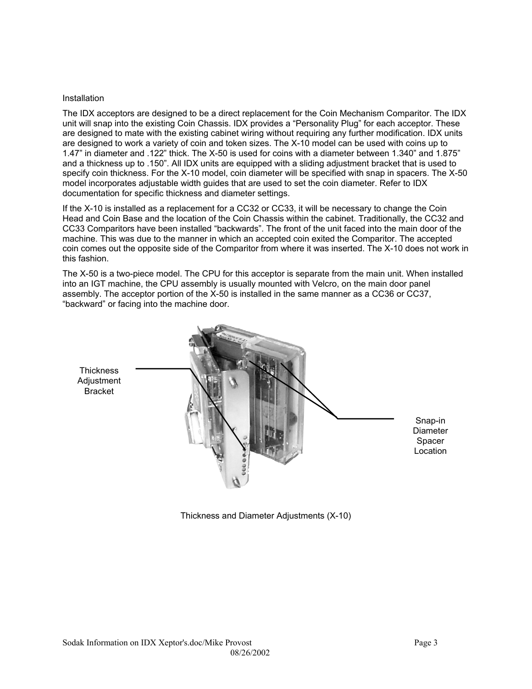### **Installation**

The IDX acceptors are designed to be a direct replacement for the Coin Mechanism Comparitor. The IDX unit will snap into the existing Coin Chassis. IDX provides a "Personality Plug" for each acceptor. These are designed to mate with the existing cabinet wiring without requiring any further modification. IDX units are designed to work a variety of coin and token sizes. The X-10 model can be used with coins up to 1.47" in diameter and .122" thick. The X-50 is used for coins with a diameter between 1.340" and 1.875" and a thickness up to .150". All IDX units are equipped with a sliding adjustment bracket that is used to specify coin thickness. For the X-10 model, coin diameter will be specified with snap in spacers. The X-50 model incorporates adjustable width guides that are used to set the coin diameter. Refer to IDX documentation for specific thickness and diameter settings.

If the X-10 is installed as a replacement for a CC32 or CC33, it will be necessary to change the Coin Head and Coin Base and the location of the Coin Chassis within the cabinet. Traditionally, the CC32 and CC33 Comparitors have been installed "backwards". The front of the unit faced into the main door of the machine. This was due to the manner in which an accepted coin exited the Comparitor. The accepted coin comes out the opposite side of the Comparitor from where it was inserted. The X-10 does not work in this fashion.

The X-50 is a two-piece model. The CPU for this acceptor is separate from the main unit. When installed into an IGT machine, the CPU assembly is usually mounted with Velcro, on the main door panel assembly. The acceptor portion of the X-50 is installed in the same manner as a CC36 or CC37, "backward" or facing into the machine door.



Thickness and Diameter Adjustments (X-10)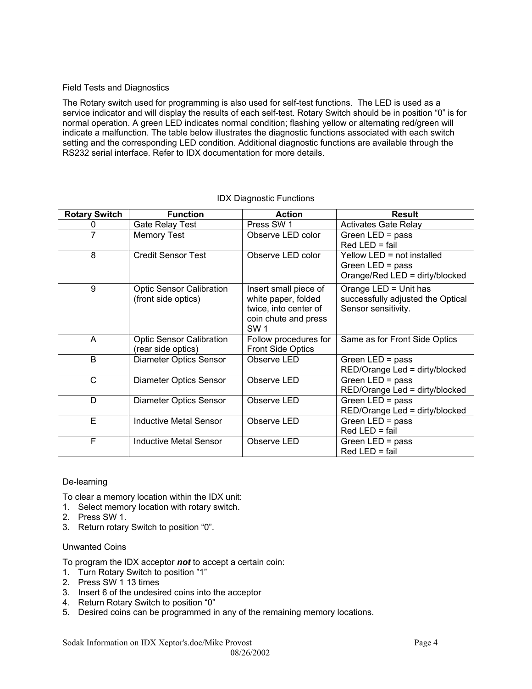## Field Tests and Diagnostics

The Rotary switch used for programming is also used for self-test functions. The LED is used as a service indicator and will display the results of each self-test. Rotary Switch should be in position "0" is for normal operation. A green LED indicates normal condition; flashing yellow or alternating red/green will indicate a malfunction. The table below illustrates the diagnostic functions associated with each switch setting and the corresponding LED condition. Additional diagnostic functions are available through the RS232 serial interface. Refer to IDX documentation for more details.

| <b>Rotary Switch</b> | <b>Function</b>                                        | <b>Action</b>                                                                                               | <b>Result</b>                                                                      |
|----------------------|--------------------------------------------------------|-------------------------------------------------------------------------------------------------------------|------------------------------------------------------------------------------------|
| 0                    | <b>Gate Relay Test</b>                                 | Press SW 1                                                                                                  | <b>Activates Gate Relay</b>                                                        |
| 7                    | <b>Memory Test</b>                                     | Observe LED color                                                                                           | Green LED = $pass$<br>$Red LED = fail$                                             |
| 8                    | <b>Credit Sensor Test</b>                              | Observe LED color                                                                                           | Yellow LED = not installed<br>Green LED = $pass$<br>Orange/Red LED = dirty/blocked |
| 9                    | <b>Optic Sensor Calibration</b><br>(front side optics) | Insert small piece of<br>white paper, folded<br>twice, into center of<br>coin chute and press<br><b>SW1</b> | Orange LED = Unit has<br>successfully adjusted the Optical<br>Sensor sensitivity.  |
| A                    | <b>Optic Sensor Calibration</b><br>(rear side optics)  | Follow procedures for<br><b>Front Side Optics</b>                                                           | Same as for Front Side Optics                                                      |
| B                    | Diameter Optics Sensor                                 | Observe LED                                                                                                 | Green LED = $pass$<br>RED/Orange Led = dirty/blocked                               |
| C                    | <b>Diameter Optics Sensor</b>                          | Observe LED                                                                                                 | Green $LED = pass$<br>RED/Orange Led = dirty/blocked                               |
| D                    | Diameter Optics Sensor                                 | Observe LED                                                                                                 | Green $LED = pass$<br>RED/Orange Led = dirty/blocked                               |
| E                    | <b>Inductive Metal Sensor</b>                          | Observe LED                                                                                                 | Green LED = $pass$<br>$Red LED = fail$                                             |
| F                    | <b>Inductive Metal Sensor</b>                          | Observe LED                                                                                                 | Green LED = $pass$<br>$Red LED = fail$                                             |

### IDX Diagnostic Functions

### De-learning

To clear a memory location within the IDX unit:

- 1. Select memory location with rotary switch.
- 2. Press SW 1.
- 3. Return rotary Switch to position "0".

### Unwanted Coins

To program the IDX acceptor *not* to accept a certain coin:

- 1. Turn Rotary Switch to position "1"
- 2. Press SW 1 13 times
- 3. Insert 6 of the undesired coins into the acceptor
- 4. Return Rotary Switch to position "0"
- 5. Desired coins can be programmed in any of the remaining memory locations.